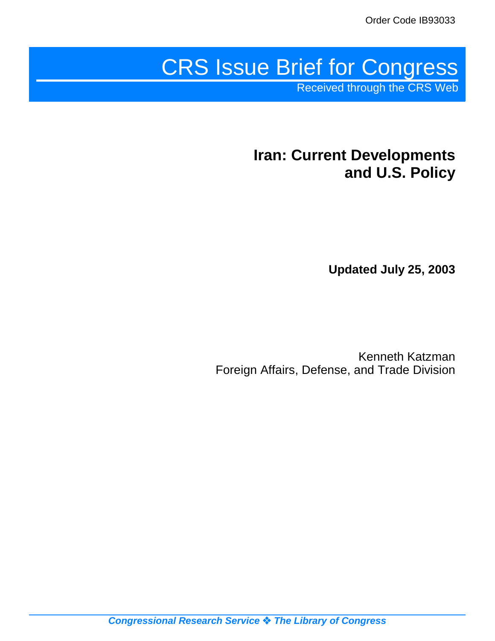# CRS Issue Brief for Congress

Received through the CRS Web

# **Iran: Current Developments and U.S. Policy**

**Updated July 25, 2003**

Kenneth Katzman Foreign Affairs, Defense, and Trade Division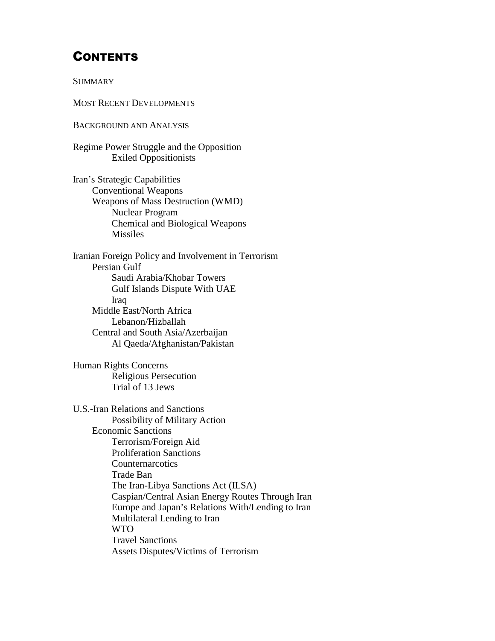# **CONTENTS**

**SUMMARY** 

MOST RECENT DEVELOPMENTS

BACKGROUND AND ANALYSIS

Regime Power Struggle and the Opposition Exiled Oppositionists

Iran's Strategic Capabilities Conventional Weapons Weapons of Mass Destruction (WMD) Nuclear Program Chemical and Biological Weapons Missiles

Iranian Foreign Policy and Involvement in Terrorism Persian Gulf Saudi Arabia/Khobar Towers Gulf Islands Dispute With UAE Iraq Middle East/North Africa Lebanon/Hizballah Central and South Asia/Azerbaijan Al Qaeda/Afghanistan/Pakistan

Human Rights Concerns Religious Persecution Trial of 13 Jews

U.S.-Iran Relations and Sanctions Possibility of Military Action Economic Sanctions Terrorism/Foreign Aid Proliferation Sanctions **Counternarcotics** Trade Ban The Iran-Libya Sanctions Act (ILSA) Caspian/Central Asian Energy Routes Through Iran Europe and Japan's Relations With/Lending to Iran Multilateral Lending to Iran WTO Travel Sanctions Assets Disputes/Victims of Terrorism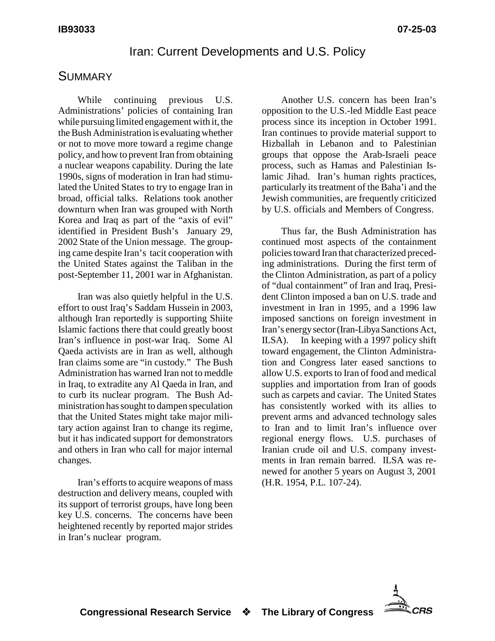#### Iran: Current Developments and U.S. Policy

#### **SUMMARY**

While continuing previous U.S. Administrations' policies of containing Iran while pursuing limited engagement with it, the the Bush Administration is evaluating whether or not to move more toward a regime change policy, and how to prevent Iran from obtaining a nuclear weapons capability. During the late 1990s, signs of moderation in Iran had stimulated the United States to try to engage Iran in broad, official talks. Relations took another downturn when Iran was grouped with North Korea and Iraq as part of the "axis of evil" identified in President Bush's January 29, 2002 State of the Union message. The grouping came despite Iran's tacit cooperation with the United States against the Taliban in the post-September 11, 2001 war in Afghanistan.

Iran was also quietly helpful in the U.S. effort to oust Iraq's Saddam Hussein in 2003, although Iran reportedly is supporting Shiite Islamic factions there that could greatly boost Iran's influence in post-war Iraq. Some Al Qaeda activists are in Iran as well, although Iran claims some are "in custody." The Bush Administration has warned Iran not to meddle in Iraq, to extradite any Al Qaeda in Iran, and to curb its nuclear program. The Bush Administration has sought to dampen speculation that the United States might take major military action against Iran to change its regime, but it has indicated support for demonstrators and others in Iran who call for major internal changes.

Iran's efforts to acquire weapons of mass destruction and delivery means, coupled with its support of terrorist groups, have long been key U.S. concerns. The concerns have been heightened recently by reported major strides in Iran's nuclear program.

Another U.S. concern has been Iran's opposition to the U.S.-led Middle East peace process since its inception in October 1991. Iran continues to provide material support to Hizballah in Lebanon and to Palestinian groups that oppose the Arab-Israeli peace process, such as Hamas and Palestinian Islamic Jihad. Iran's human rights practices, particularly its treatment of the Baha'i and the Jewish communities, are frequently criticized by U.S. officials and Members of Congress.

Thus far, the Bush Administration has continued most aspects of the containment policies toward Iran that characterized preceding administrations. During the first term of the Clinton Administration, as part of a policy of "dual containment" of Iran and Iraq, President Clinton imposed a ban on U.S. trade and investment in Iran in 1995, and a 1996 law imposed sanctions on foreign investment in Iran's energysector (Iran-Libya Sanctions Act, ILSA). In keeping with a 1997 policy shift toward engagement, the Clinton Administration and Congress later eased sanctions to allow U.S. exports to Iran of food and medical supplies and importation from Iran of goods such as carpets and caviar. The United States has consistently worked with its allies to prevent arms and advanced technology sales to Iran and to limit Iran's influence over regional energy flows. U.S. purchases of Iranian crude oil and U.S. company investments in Iran remain barred. ILSA was renewed for another 5 years on August 3, 2001 (H.R. 1954, P.L. 107-24).

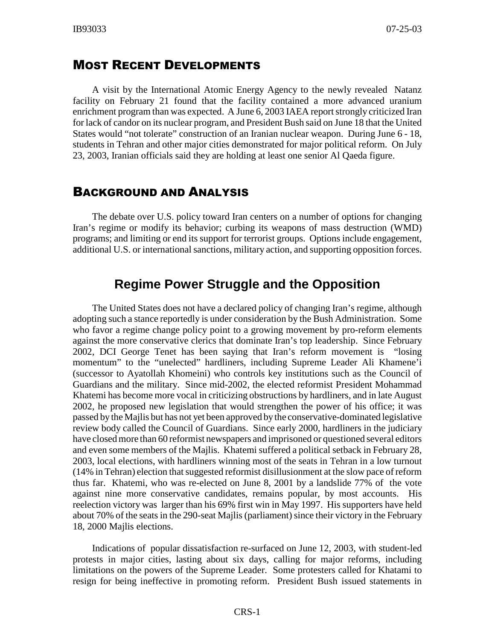#### MOST RECENT DEVELOPMENTS

A visit by the International Atomic Energy Agency to the newly revealed Natanz facility on February 21 found that the facility contained a more advanced uranium enrichment program than was expected. A June 6, 2003 IAEA report strongly criticized Iran for lack of candor on its nuclear program, and President Bush said on June 18 that the United States would "not tolerate" construction of an Iranian nuclear weapon. During June 6 - 18, students in Tehran and other major cities demonstrated for major political reform. On July 23, 2003, Iranian officials said they are holding at least one senior Al Qaeda figure.

#### BACKGROUND AND ANALYSIS

The debate over U.S. policy toward Iran centers on a number of options for changing Iran's regime or modify its behavior; curbing its weapons of mass destruction (WMD) programs; and limiting or end its support for terrorist groups. Options include engagement, additional U.S. or international sanctions, military action, and supporting opposition forces.

### **Regime Power Struggle and the Opposition**

The United States does not have a declared policy of changing Iran's regime, although adopting such a stance reportedly is under consideration by the Bush Administration. Some who favor a regime change policy point to a growing movement by pro-reform elements against the more conservative clerics that dominate Iran's top leadership. Since February 2002, DCI George Tenet has been saying that Iran's reform movement is "losing momentum" to the "unelected" hardliners, including Supreme Leader Ali Khamene'i (successor to Ayatollah Khomeini) who controls key institutions such as the Council of Guardians and the military. Since mid-2002, the elected reformist President Mohammad Khatemi has become more vocal in criticizing obstructions by hardliners, and in late August 2002, he proposed new legislation that would strengthen the power of his office; it was passed by the Majlis but has not yet been approved bythe conservative-dominated legislative review body called the Council of Guardians. Since early 2000, hardliners in the judiciary have closed more than 60 reformist newspapers and imprisoned or questioned several editors and even some members of the Majlis. Khatemi suffered a political setback in February 28, 2003, local elections, with hardliners winning most of the seats in Tehran in a low turnout (14% in Tehran) election that suggested reformist disillusionment at the slow pace of reform thus far. Khatemi, who was re-elected on June 8, 2001 by a landslide 77% of the vote against nine more conservative candidates, remains popular, by most accounts. His reelection victory was larger than his 69% first win in May 1997. His supporters have held about 70% of the seats in the 290-seat Majlis (parliament) since their victory in the February 18, 2000 Majlis elections.

Indications of popular dissatisfaction re-surfaced on June 12, 2003, with student-led protests in major cities, lasting about six days, calling for major reforms, including limitations on the powers of the Supreme Leader. Some protesters called for Khatami to resign for being ineffective in promoting reform. President Bush issued statements in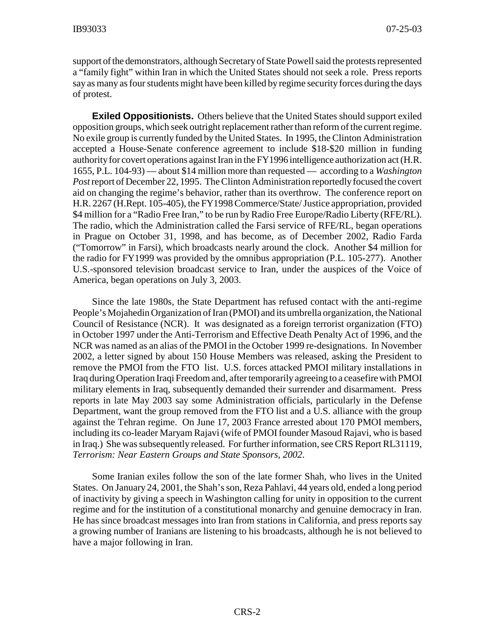support of the demonstrators, although Secretaryof State Powell said the protests represented a "family fight" within Iran in which the United States should not seek a role. Press reports say as many as four students might have been killed by regime security forces during the days of protest.

**Exiled Oppositionists.** Others believe that the United States should support exiled opposition groups, which seek outright replacement rather than reform of the current regime. No exile group is currently funded by the United States. In 1995, the Clinton Administration accepted a House-Senate conference agreement to include \$18-\$20 million in funding authority for covert operations against Iran in the FY1996 intelligence authorization act (H.R. 1655, P.L. 104-93) — about \$14 million more than requested — according to a *Washington* Post report of December 22, 1995. The Clinton Administration reportedly focused the covert aid on changing the regime's behavior, rather than its overthrow. The conference report on H.R. 2267 (H.Rept. 105-405), the FY1998 Commerce/State/ Justice appropriation, provided \$4 million for a "Radio Free Iran," to be run by Radio Free Europe/Radio Liberty (RFE/RL). The radio, which the Administration called the Farsi service of RFE/RL, began operations in Prague on October 31, 1998, and has become, as of December 2002, Radio Farda ("Tomorrow" in Farsi), which broadcasts nearly around the clock. Another \$4 million for the radio for FY1999 was provided by the omnibus appropriation (P.L. 105-277). Another U.S.-sponsored television broadcast service to Iran, under the auspices of the Voice of America, began operations on July 3, 2003.

Since the late 1980s, the State Department has refused contact with the anti-regime People's Mojahedin Organization of Iran (PMOI) and its umbrella organization, the National Council of Resistance (NCR). It was designated as a foreign terrorist organization (FTO) in October 1997 under the Anti-Terrorism and Effective Death Penalty Act of 1996, and the NCR was named as an alias of the PMOI in the October 1999 re-designations. In November 2002, a letter signed by about 150 House Members was released, asking the President to remove the PMOI from the FTO list. U.S. forces attacked PMOI military installations in Iraq during Operation Iraqi Freedom and, after temporarilyagreeing to a ceasefire with PMOI military elements in Iraq, subsequently demanded their surrender and disarmament. Press reports in late May 2003 say some Administration officials, particularly in the Defense Department, want the group removed from the FTO list and a U.S. alliance with the group against the Tehran regime. On June 17, 2003 France arrested about 170 PMOI members, including its co-leader Maryam Rajavi (wife of PMOI founder Masoud Rajavi, who is based in Iraq.) She was subsequently released. For further information, see CRS Report RL31119, *Terrorism: Near Eastern Groups and State Sponsors, 2002*.

Some Iranian exiles follow the son of the late former Shah, who lives in the United States. On January 24, 2001, the Shah's son, Reza Pahlavi, 44 years old, ended a long period of inactivity by giving a speech in Washington calling for unity in opposition to the current regime and for the institution of a constitutional monarchy and genuine democracy in Iran. He has since broadcast messages into Iran from stations in California, and press reports say a growing number of Iranians are listening to his broadcasts, although he is not believed to have a major following in Iran.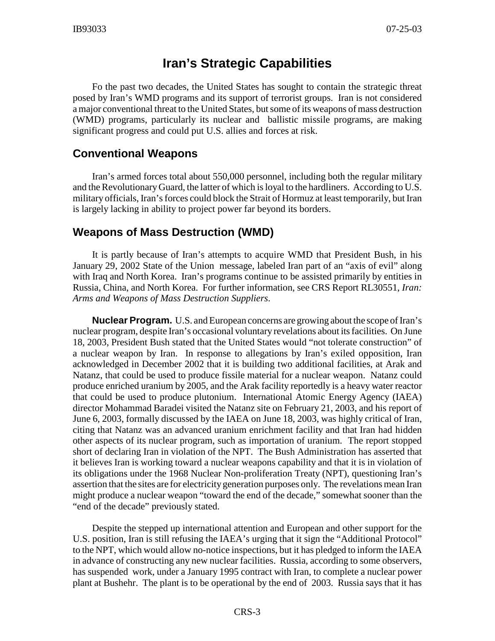# **Iran's Strategic Capabilities**

Fo the past two decades, the United States has sought to contain the strategic threat posed by Iran's WMD programs and its support of terrorist groups. Iran is not considered a major conventional threat to the United States, but some of its weapons of mass destruction (WMD) programs, particularly its nuclear and ballistic missile programs, are making significant progress and could put U.S. allies and forces at risk.

#### **Conventional Weapons**

Iran's armed forces total about 550,000 personnel, including both the regular military and the Revolutionary Guard, the latter of which is loyal to the hardliners. According to U.S. military officials, Iran's forces could block the Strait of Hormuz at least temporarily, but Iran is largely lacking in ability to project power far beyond its borders.

#### **Weapons of Mass Destruction (WMD)**

It is partly because of Iran's attempts to acquire WMD that President Bush, in his January 29, 2002 State of the Union message, labeled Iran part of an "axis of evil" along with Iraq and North Korea. Iran's programs continue to be assisted primarily by entities in Russia, China, and North Korea. For further information, see CRS Report RL30551, *Iran: Arms and Weapons of Mass Destruction Suppliers*.

**Nuclear Program.** U.S. and European concerns are growing about the scope of Iran's nuclear program, despite Iran's occasional voluntary revelations about its facilities. On June 18, 2003, President Bush stated that the United States would "not tolerate construction" of a nuclear weapon by Iran. In response to allegations by Iran's exiled opposition, Iran acknowledged in December 2002 that it is building two additional facilities, at Arak and Natanz, that could be used to produce fissile material for a nuclear weapon. Natanz could produce enriched uranium by 2005, and the Arak facility reportedly is a heavy water reactor that could be used to produce plutonium. International Atomic Energy Agency (IAEA) director Mohammad Baradei visited the Natanz site on February 21, 2003, and his report of June 6, 2003, formally discussed by the IAEA on June 18, 2003, was highly critical of Iran, citing that Natanz was an advanced uranium enrichment facility and that Iran had hidden other aspects of its nuclear program, such as importation of uranium. The report stopped short of declaring Iran in violation of the NPT. The Bush Administration has asserted that it believes Iran is working toward a nuclear weapons capability and that it is in violation of its obligations under the 1968 Nuclear Non-proliferation Treaty (NPT), questioning Iran's assertion that the sites are for electricity generation purposes only. The revelations mean Iran might produce a nuclear weapon "toward the end of the decade," somewhat sooner than the "end of the decade" previously stated.

Despite the stepped up international attention and European and other support for the U.S. position, Iran is still refusing the IAEA's urging that it sign the "Additional Protocol" to the NPT, which would allow no-notice inspections, but it has pledged to inform the IAEA in advance of constructing any new nuclear facilities. Russia, according to some observers, has suspended work, under a January 1995 contract with Iran, to complete a nuclear power plant at Bushehr. The plant is to be operational by the end of 2003. Russia says that it has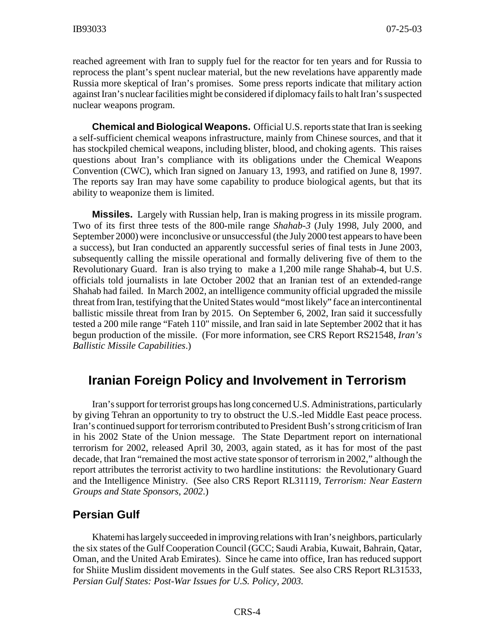reached agreement with Iran to supply fuel for the reactor for ten years and for Russia to reprocess the plant's spent nuclear material, but the new revelations have apparently made Russia more skeptical of Iran's promises. Some press reports indicate that military action against Iran's nuclear facilities might be considered if diplomacyfails to halt Iran's suspected nuclear weapons program.

**Chemical and Biological Weapons.** Official U.S. reports state that Iran is seeking a self-sufficient chemical weapons infrastructure, mainly from Chinese sources, and that it has stockpiled chemical weapons, including blister, blood, and choking agents. This raises questions about Iran's compliance with its obligations under the Chemical Weapons Convention (CWC), which Iran signed on January 13, 1993, and ratified on June 8, 1997. The reports say Iran may have some capability to produce biological agents, but that its ability to weaponize them is limited.

**Missiles.** Largely with Russian help, Iran is making progress in its missile program. Two of its first three tests of the 800-mile range *Shahab-3* (July 1998, July 2000, and September 2000) were inconclusive or unsuccessful (the July 2000 test appears to have been a success), but Iran conducted an apparently successful series of final tests in June 2003, subsequently calling the missile operational and formally delivering five of them to the Revolutionary Guard. Iran is also trying to make a 1,200 mile range Shahab-4, but U.S. officials told journalists in late October 2002 that an Iranian test of an extended-range Shahab had failed. In March 2002, an intelligence community official upgraded the missile threat from Iran, testifying that the United States would "most likely" face an intercontinental ballistic missile threat from Iran by 2015. On September 6, 2002, Iran said it successfully tested a 200 mile range "Fateh 110" missile, and Iran said in late September 2002 that it has begun production of the missile. (For more information, see CRS Report RS21548, *Iran's Ballistic Missile Capabilities*.)

# **Iranian Foreign Policy and Involvement in Terrorism**

Iran's support for terrorist groups has long concerned U.S. Administrations, particularly by giving Tehran an opportunity to try to obstruct the U.S.-led Middle East peace process. Iran's continued support for terrorism contributed to President Bush's strong criticism of Iran in his 2002 State of the Union message. The State Department report on international terrorism for 2002, released April 30, 2003, again stated, as it has for most of the past decade, that Iran "remained the most active state sponsor of terrorism in 2002," although the report attributes the terrorist activity to two hardline institutions: the Revolutionary Guard and the Intelligence Ministry. (See also CRS Report RL31119, *Terrorism: Near Eastern Groups and State Sponsors, 2002*.)

#### **Persian Gulf**

Khatemi has largely succeeded in improving relations with Iran's neighbors, particularly the six states of the Gulf Cooperation Council (GCC; Saudi Arabia, Kuwait, Bahrain, Qatar, Oman, and the United Arab Emirates). Since he came into office, Iran has reduced support for Shiite Muslim dissident movements in the Gulf states. See also CRS Report RL31533, *Persian Gulf States: Post-War Issues for U.S. Policy, 2003.*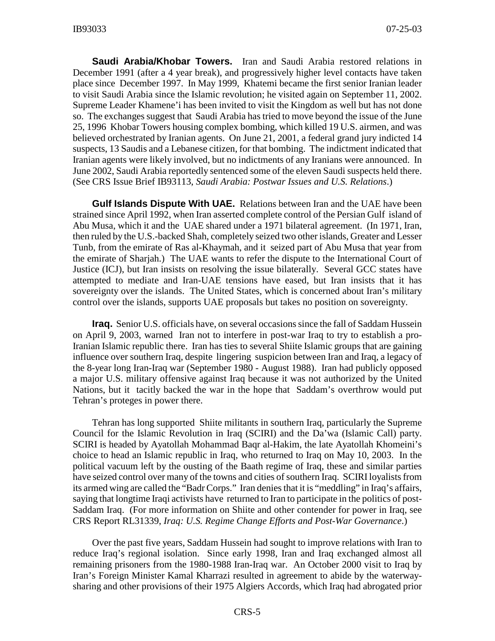**Saudi Arabia/Khobar Towers.** Iran and Saudi Arabia restored relations in December 1991 (after a 4 year break), and progressively higher level contacts have taken place since December 1997. In May 1999, Khatemi became the first senior Iranian leader to visit Saudi Arabia since the Islamic revolution; he visited again on September 11, 2002. Supreme Leader Khamene'i has been invited to visit the Kingdom as well but has not done so. The exchanges suggest that Saudi Arabia has tried to move beyond the issue of the June 25, 1996 Khobar Towers housing complex bombing, which killed 19 U.S. airmen, and was believed orchestrated by Iranian agents. On June 21, 2001, a federal grand jury indicted 14 suspects, 13 Saudis and a Lebanese citizen, for that bombing. The indictment indicated that Iranian agents were likely involved, but no indictments of any Iranians were announced. In June 2002, Saudi Arabia reportedly sentenced some of the eleven Saudi suspects held there. (See CRS Issue Brief IB93113, *Saudi Arabia: Postwar Issues and U.S. Relations*.)

**Gulf Islands Dispute With UAE.** Relations between Iran and the UAE have been strained since April 1992, when Iran asserted complete control of the Persian Gulf island of Abu Musa, which it and the UAE shared under a 1971 bilateral agreement. (In 1971, Iran, then ruled by the U.S.-backed Shah, completely seized two other islands, Greater and Lesser Tunb, from the emirate of Ras al-Khaymah, and it seized part of Abu Musa that year from the emirate of Sharjah.) The UAE wants to refer the dispute to the International Court of Justice (ICJ), but Iran insists on resolving the issue bilaterally. Several GCC states have attempted to mediate and Iran-UAE tensions have eased, but Iran insists that it has sovereignty over the islands. The United States, which is concerned about Iran's military control over the islands, supports UAE proposals but takes no position on sovereignty.

**Iraq.** Senior U.S. officials have, on several occasions since the fall of Saddam Hussein on April 9, 2003, warned Iran not to interfere in post-war Iraq to try to establish a pro-Iranian Islamic republic there. Iran has ties to several Shiite Islamic groups that are gaining influence over southern Iraq, despite lingering suspicion between Iran and Iraq, a legacy of the 8-year long Iran-Iraq war (September 1980 - August 1988). Iran had publicly opposed a major U.S. military offensive against Iraq because it was not authorized by the United Nations, but it tacitly backed the war in the hope that Saddam's overthrow would put Tehran's proteges in power there.

Tehran has long supported Shiite militants in southern Iraq, particularly the Supreme Council for the Islamic Revolution in Iraq (SCIRI) and the Da'wa (Islamic Call) party. SCIRI is headed by Ayatollah Mohammad Baqr al-Hakim, the late Ayatollah Khomeini's choice to head an Islamic republic in Iraq, who returned to Iraq on May 10, 2003. In the political vacuum left by the ousting of the Baath regime of Iraq, these and similar parties have seized control over many of the towns and cities of southern Iraq. SCIRI loyalists from its armed wing are called the "Badr Corps." Iran denies that it is "meddling" in Iraq's affairs, saying that longtime Iraqi activists have returned to Iran to participate in the politics of post-Saddam Iraq. (For more information on Shiite and other contender for power in Iraq, see CRS Report RL31339, *Iraq: U.S. Regime Change Efforts and Post-War Governance*.)

Over the past five years, Saddam Hussein had sought to improve relations with Iran to reduce Iraq's regional isolation. Since early 1998, Iran and Iraq exchanged almost all remaining prisoners from the 1980-1988 Iran-Iraq war. An October 2000 visit to Iraq by Iran's Foreign Minister Kamal Kharrazi resulted in agreement to abide by the waterwaysharing and other provisions of their 1975 Algiers Accords, which Iraq had abrogated prior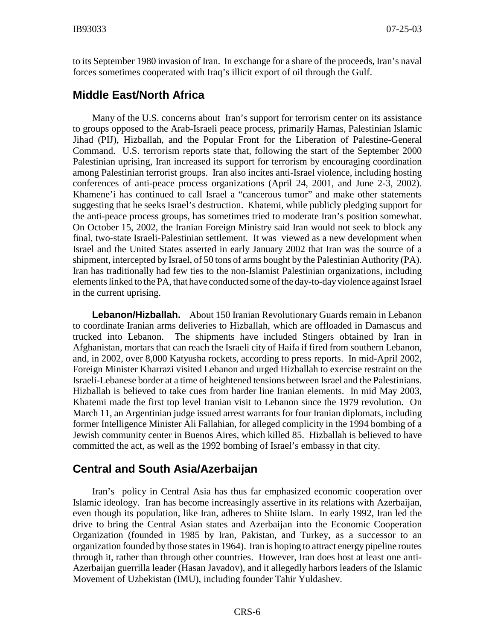to its September 1980 invasion of Iran. In exchange for a share of the proceeds, Iran's naval forces sometimes cooperated with Iraq's illicit export of oil through the Gulf.

#### **Middle East/North Africa**

Many of the U.S. concerns about Iran's support for terrorism center on its assistance to groups opposed to the Arab-Israeli peace process, primarily Hamas, Palestinian Islamic Jihad (PIJ), Hizballah, and the Popular Front for the Liberation of Palestine-General Command. U.S. terrorism reports state that, following the start of the September 2000 Palestinian uprising, Iran increased its support for terrorism by encouraging coordination among Palestinian terrorist groups. Iran also incites anti-Israel violence, including hosting conferences of anti-peace process organizations (April 24, 2001, and June 2-3, 2002). Khamene'i has continued to call Israel a "cancerous tumor" and make other statements suggesting that he seeks Israel's destruction. Khatemi, while publicly pledging support for the anti-peace process groups, has sometimes tried to moderate Iran's position somewhat. On October 15, 2002, the Iranian Foreign Ministry said Iran would not seek to block any final, two-state Israeli-Palestinian settlement. It was viewed as a new development when Israel and the United States asserted in early January 2002 that Iran was the source of a shipment, intercepted by Israel, of 50 tons of arms bought by the Palestinian Authority (PA). Iran has traditionally had few ties to the non-Islamist Palestinian organizations, including elements linked to the PA, that have conducted some of the day-to-dayviolence against Israel in the current uprising.

**Lebanon/Hizballah.** About 150 Iranian Revolutionary Guards remain in Lebanon to coordinate Iranian arms deliveries to Hizballah, which are offloaded in Damascus and trucked into Lebanon. The shipments have included Stingers obtained by Iran in Afghanistan, mortars that can reach the Israeli city of Haifa if fired from southern Lebanon, and, in 2002, over 8,000 Katyusha rockets, according to press reports. In mid-April 2002, Foreign Minister Kharrazi visited Lebanon and urged Hizballah to exercise restraint on the Israeli-Lebanese border at a time of heightened tensions between Israel and the Palestinians. Hizballah is believed to take cues from harder line Iranian elements. In mid May 2003, Khatemi made the first top level Iranian visit to Lebanon since the 1979 revolution. On March 11, an Argentinian judge issued arrest warrants for four Iranian diplomats, including former Intelligence Minister Ali Fallahian, for alleged complicity in the 1994 bombing of a Jewish community center in Buenos Aires, which killed 85. Hizballah is believed to have committed the act, as well as the 1992 bombing of Israel's embassy in that city.

#### **Central and South Asia/Azerbaijan**

Iran's policy in Central Asia has thus far emphasized economic cooperation over Islamic ideology. Iran has become increasingly assertive in its relations with Azerbaijan, even though its population, like Iran, adheres to Shiite Islam. In early 1992, Iran led the drive to bring the Central Asian states and Azerbaijan into the Economic Cooperation Organization (founded in 1985 by Iran, Pakistan, and Turkey, as a successor to an organization founded by those states in 1964). Iran is hoping to attract energy pipeline routes through it, rather than through other countries. However, Iran does host at least one anti-Azerbaijan guerrilla leader (Hasan Javadov), and it allegedly harbors leaders of the Islamic Movement of Uzbekistan (IMU), including founder Tahir Yuldashev.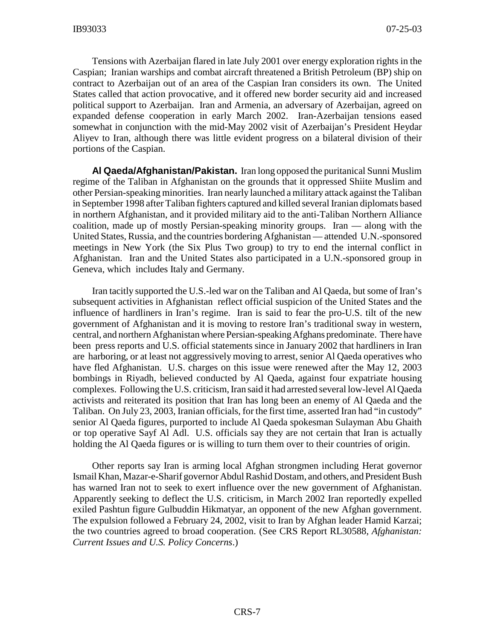Tensions with Azerbaijan flared in late July 2001 over energy exploration rights in the Caspian; Iranian warships and combat aircraft threatened a British Petroleum (BP) ship on contract to Azerbaijan out of an area of the Caspian Iran considers its own. The United States called that action provocative, and it offered new border security aid and increased political support to Azerbaijan. Iran and Armenia, an adversary of Azerbaijan, agreed on expanded defense cooperation in early March 2002. Iran-Azerbaijan tensions eased somewhat in conjunction with the mid-May 2002 visit of Azerbaijan's President Heydar Aliyev to Iran, although there was little evident progress on a bilateral division of their portions of the Caspian.

**Al Qaeda/Afghanistan/Pakistan.** Iran long opposed the puritanical Sunni Muslim regime of the Taliban in Afghanistan on the grounds that it oppressed Shiite Muslim and other Persian-speaking minorities. Iran nearly launched a military attack against the Taliban in September 1998 after Taliban fighters captured and killed several Iranian diplomats based in northern Afghanistan, and it provided military aid to the anti-Taliban Northern Alliance coalition, made up of mostly Persian-speaking minority groups. Iran — along with the United States, Russia, and the countries bordering Afghanistan — attended U.N.-sponsored meetings in New York (the Six Plus Two group) to try to end the internal conflict in Afghanistan. Iran and the United States also participated in a U.N.-sponsored group in Geneva, which includes Italy and Germany.

Iran tacitly supported the U.S.-led war on the Taliban and Al Qaeda, but some of Iran's subsequent activities in Afghanistan reflect official suspicion of the United States and the influence of hardliners in Iran's regime. Iran is said to fear the pro-U.S. tilt of the new government of Afghanistan and it is moving to restore Iran's traditional sway in western, central, and northern Afghanistan where Persian-speaking Afghans predominate. There have been press reports and U.S. official statements since in January 2002 that hardliners in Iran are harboring, or at least not aggressively moving to arrest, senior Al Qaeda operatives who have fled Afghanistan. U.S. charges on this issue were renewed after the May 12, 2003 bombings in Riyadh, believed conducted by Al Qaeda, against four expatriate housing complexes. Following the U.S. criticism, Iran said it had arrested several low-level Al Qaeda activists and reiterated its position that Iran has long been an enemy of Al Qaeda and the Taliban. On July 23, 2003, Iranian officials, for the first time, asserted Iran had "in custody" senior Al Qaeda figures, purported to include Al Qaeda spokesman Sulayman Abu Ghaith or top operative Sayf Al Adl. U.S. officials say they are not certain that Iran is actually holding the Al Qaeda figures or is willing to turn them over to their countries of origin.

Other reports say Iran is arming local Afghan strongmen including Herat governor Ismail Khan, Mazar-e-Sharif governor Abdul Rashid Dostam, and others, and President Bush has warned Iran not to seek to exert influence over the new government of Afghanistan. Apparently seeking to deflect the U.S. criticism, in March 2002 Iran reportedly expelled exiled Pashtun figure Gulbuddin Hikmatyar, an opponent of the new Afghan government. The expulsion followed a February 24, 2002, visit to Iran by Afghan leader Hamid Karzai; the two countries agreed to broad cooperation. (See CRS Report RL30588, *Afghanistan: Current Issues and U.S. Policy Concerns*.)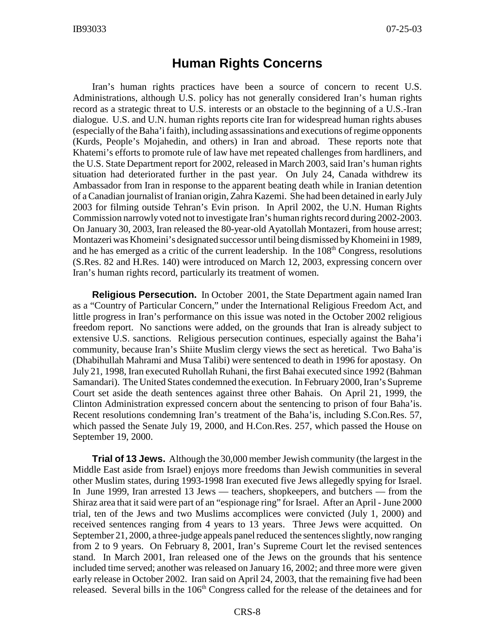## **Human Rights Concerns**

Iran's human rights practices have been a source of concern to recent U.S. Administrations, although U.S. policy has not generally considered Iran's human rights record as a strategic threat to U.S. interests or an obstacle to the beginning of a U.S.-Iran dialogue. U.S. and U.N. human rights reports cite Iran for widespread human rights abuses (especially of the Baha'i faith), including assassinations and executions of regime opponents (Kurds, People's Mojahedin, and others) in Iran and abroad. These reports note that Khatemi's efforts to promote rule of law have met repeated challenges from hardliners, and the U.S. State Department report for 2002, released in March 2003, said Iran's human rights situation had deteriorated further in the past year. On July 24, Canada withdrew its Ambassador from Iran in response to the apparent beating death while in Iranian detention of a Canadian journalist of Iranian origin, Zahra Kazemi. She had been detained in early July 2003 for filming outside Tehran's Evin prison. In April 2002, the U.N. Human Rights Commission narrowly voted not to investigate Iran's human rights record during 2002-2003. On January 30, 2003, Iran released the 80-year-old Ayatollah Montazeri, from house arrest; Montazeri was Khomeini's designated successor until being dismissed by Khomeini in 1989, and he has emerged as a critic of the current leadership. In the  $108<sup>th</sup>$  Congress, resolutions (S.Res. 82 and H.Res. 140) were introduced on March 12, 2003, expressing concern over Iran's human rights record, particularly its treatment of women.

**Religious Persecution.** In October 2001, the State Department again named Iran as a "Country of Particular Concern," under the International Religious Freedom Act, and little progress in Iran's performance on this issue was noted in the October 2002 religious freedom report. No sanctions were added, on the grounds that Iran is already subject to extensive U.S. sanctions. Religious persecution continues, especially against the Baha'i community, because Iran's Shiite Muslim clergy views the sect as heretical. Two Baha'is (Dhabihullah Mahrami and Musa Talibi) were sentenced to death in 1996 for apostasy. On July 21, 1998, Iran executed Ruhollah Ruhani, the first Bahai executed since 1992 (Bahman Samandari). The United States condemned the execution. In February 2000, Iran's Supreme Court set aside the death sentences against three other Bahais. On April 21, 1999, the Clinton Administration expressed concern about the sentencing to prison of four Baha'is. Recent resolutions condemning Iran's treatment of the Baha'is, including S.Con.Res. 57, which passed the Senate July 19, 2000, and H.Con.Res. 257, which passed the House on September 19, 2000.

**Trial of 13 Jews.** Although the 30,000 member Jewish community (the largest in the Middle East aside from Israel) enjoys more freedoms than Jewish communities in several other Muslim states, during 1993-1998 Iran executed five Jews allegedly spying for Israel. In June 1999, Iran arrested 13 Jews — teachers, shopkeepers, and butchers — from the Shiraz area that it said were part of an "espionage ring" for Israel. After an April - June 2000 trial, ten of the Jews and two Muslims accomplices were convicted (July 1, 2000) and received sentences ranging from 4 years to 13 years. Three Jews were acquitted. On September 21, 2000, a three-judge appeals panel reduced the sentences slightly, now ranging from 2 to 9 years. On February 8, 2001, Iran's Supreme Court let the revised sentences stand. In March 2001, Iran released one of the Jews on the grounds that his sentence included time served; another was released on January 16, 2002; and three more were given early release in October 2002. Iran said on April 24, 2003, that the remaining five had been released. Several bills in the  $106<sup>th</sup>$  Congress called for the release of the detainees and for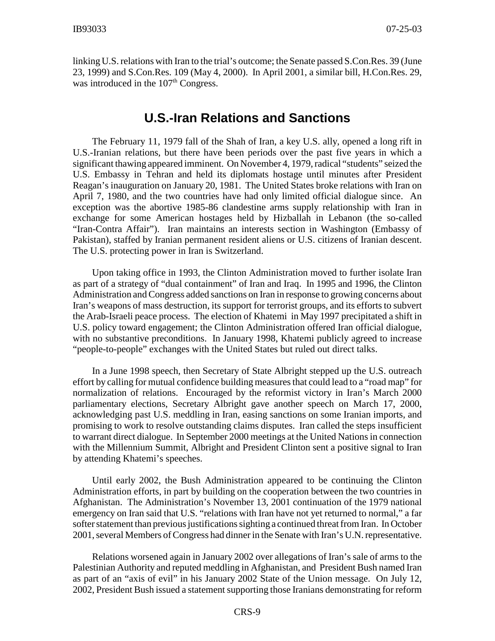linking U.S. relations with Iran to the trial's outcome; the Senate passed S.Con.Res. 39 (June 23, 1999) and S.Con.Res. 109 (May 4, 2000). In April 2001, a similar bill, H.Con.Res. 29, was introduced in the  $107<sup>th</sup>$  Congress.

## **U.S.-Iran Relations and Sanctions**

The February 11, 1979 fall of the Shah of Iran, a key U.S. ally, opened a long rift in U.S.-Iranian relations, but there have been periods over the past five years in which a significant thawing appeared imminent. On November 4, 1979, radical "students" seized the U.S. Embassy in Tehran and held its diplomats hostage until minutes after President Reagan's inauguration on January 20, 1981. The United States broke relations with Iran on April 7, 1980, and the two countries have had only limited official dialogue since. An exception was the abortive 1985-86 clandestine arms supply relationship with Iran in exchange for some American hostages held by Hizballah in Lebanon (the so-called "Iran-Contra Affair"). Iran maintains an interests section in Washington (Embassy of Pakistan), staffed by Iranian permanent resident aliens or U.S. citizens of Iranian descent. The U.S. protecting power in Iran is Switzerland.

Upon taking office in 1993, the Clinton Administration moved to further isolate Iran as part of a strategy of "dual containment" of Iran and Iraq. In 1995 and 1996, the Clinton Administration and Congress added sanctions on Iran in response to growing concerns about Iran's weapons of mass destruction, its support for terrorist groups, and its efforts to subvert the Arab-Israeli peace process. The election of Khatemi in May 1997 precipitated a shift in U.S. policy toward engagement; the Clinton Administration offered Iran official dialogue, with no substantive preconditions. In January 1998, Khatemi publicly agreed to increase "people-to-people" exchanges with the United States but ruled out direct talks.

In a June 1998 speech, then Secretary of State Albright stepped up the U.S. outreach effort by calling for mutual confidence building measures that could lead to a "road map" for normalization of relations. Encouraged by the reformist victory in Iran's March 2000 parliamentary elections, Secretary Albright gave another speech on March 17, 2000, acknowledging past U.S. meddling in Iran, easing sanctions on some Iranian imports, and promising to work to resolve outstanding claims disputes. Iran called the steps insufficient to warrant direct dialogue. In September 2000 meetings at the United Nations in connection with the Millennium Summit, Albright and President Clinton sent a positive signal to Iran by attending Khatemi's speeches.

Until early 2002, the Bush Administration appeared to be continuing the Clinton Administration efforts, in part by building on the cooperation between the two countries in Afghanistan. The Administration's November 13, 2001 continuation of the 1979 national emergency on Iran said that U.S. "relations with Iran have not yet returned to normal," a far softer statement than previous justifications sighting a continued threat from Iran. In October 2001, several Members of Congress had dinner in the Senate with Iran's U.N. representative.

Relations worsened again in January 2002 over allegations of Iran's sale of arms to the Palestinian Authority and reputed meddling in Afghanistan, and President Bush named Iran as part of an "axis of evil" in his January 2002 State of the Union message. On July 12, 2002, President Bush issued a statement supporting those Iranians demonstrating for reform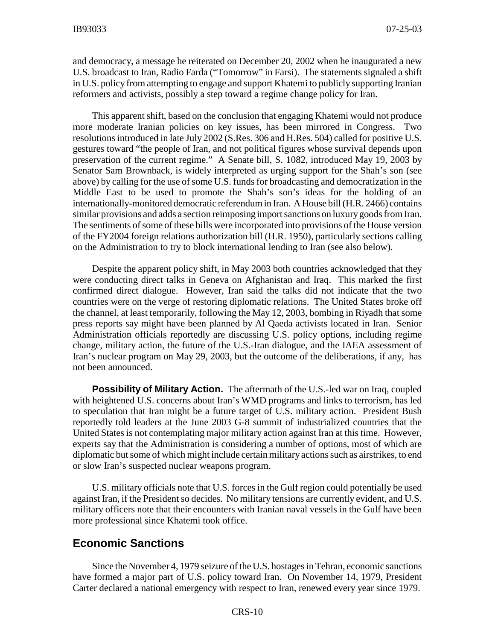and democracy, a message he reiterated on December 20, 2002 when he inaugurated a new U.S. broadcast to Iran, Radio Farda ("Tomorrow" in Farsi). The statements signaled a shift in U.S. policy from attempting to engage and support Khatemi to publicly supporting Iranian reformers and activists, possibly a step toward a regime change policy for Iran.

This apparent shift, based on the conclusion that engaging Khatemi would not produce more moderate Iranian policies on key issues, has been mirrored in Congress. Two resolutions introduced in late July 2002 (S.Res. 306 and H.Res. 504) called for positive U.S. gestures toward "the people of Iran, and not political figures whose survival depends upon preservation of the current regime." A Senate bill, S. 1082, introduced May 19, 2003 by Senator Sam Brownback, is widely interpreted as urging support for the Shah's son (see above) by calling for the use of some U.S. funds for broadcasting and democratization in the Middle East to be used to promote the Shah's son's ideas for the holding of an internationally-monitored democratic referendum in Iran. AHouse bill (H.R. 2466) contains similar provisions and adds a section reimposing import sanctions on luxurygoods from Iran. The sentiments of some of these bills were incorporated into provisions of the House version of the FY2004 foreign relations authorization bill (H.R. 1950), particularly sections calling on the Administration to try to block international lending to Iran (see also below).

Despite the apparent policy shift, in May 2003 both countries acknowledged that they were conducting direct talks in Geneva on Afghanistan and Iraq. This marked the first confirmed direct dialogue. However, Iran said the talks did not indicate that the two countries were on the verge of restoring diplomatic relations. The United States broke off the channel, at least temporarily, following the May 12, 2003, bombing in Riyadh that some press reports say might have been planned by Al Qaeda activists located in Iran. Senior Administration officials reportedly are discussing U.S. policy options, including regime change, military action, the future of the U.S.-Iran dialogue, and the IAEA assessment of Iran's nuclear program on May 29, 2003, but the outcome of the deliberations, if any, has not been announced.

**Possibility of Military Action.** The aftermath of the U.S.-led war on Iraq, coupled with heightened U.S. concerns about Iran's WMD programs and links to terrorism, has led to speculation that Iran might be a future target of U.S. military action. President Bush reportedly told leaders at the June 2003 G-8 summit of industrialized countries that the United States is not contemplating major military action against Iran at this time. However, experts say that the Administration is considering a number of options, most of which are diplomatic but some of which might include certain military actions such as airstrikes, to end or slow Iran's suspected nuclear weapons program.

U.S. military officials note that U.S. forces in the Gulf region could potentially be used against Iran, if the President so decides. No military tensions are currently evident, and U.S. military officers note that their encounters with Iranian naval vessels in the Gulf have been more professional since Khatemi took office.

#### **Economic Sanctions**

Since the November 4, 1979 seizure of the U.S. hostages in Tehran, economic sanctions have formed a major part of U.S. policy toward Iran. On November 14, 1979, President Carter declared a national emergency with respect to Iran, renewed every year since 1979.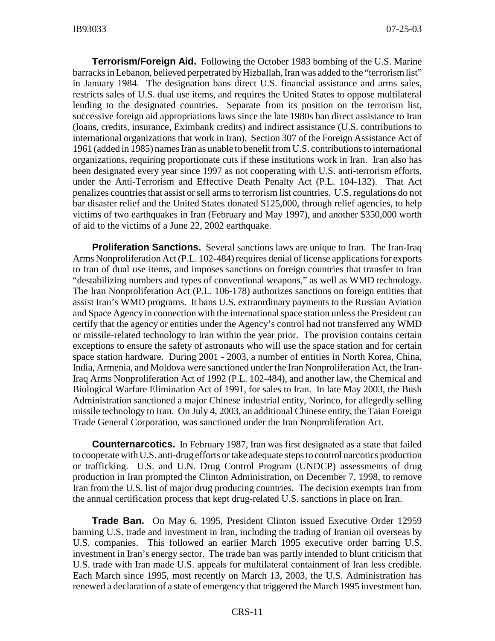**Terrorism/Foreign Aid.** Following the October 1983 bombing of the U.S. Marine barracks in Lebanon, believed perpetrated by Hizballah, Iran was added to the "terrorism list" in January 1984. The designation bans direct U.S. financial assistance and arms sales, restricts sales of U.S. dual use items, and requires the United States to oppose multilateral lending to the designated countries. Separate from its position on the terrorism list, successive foreign aid appropriations laws since the late 1980s ban direct assistance to Iran (loans, credits, insurance, Eximbank credits) and indirect assistance (U.S. contributions to international organizations that work in Iran). Section 307 of the Foreign Assistance Act of 1961 (added in 1985) names Iran as unable to benefit from U.S. contributions to international organizations, requiring proportionate cuts if these institutions work in Iran. Iran also has been designated every year since 1997 as not cooperating with U.S. anti-terrorism efforts, under the Anti-Terrorism and Effective Death Penalty Act (P.L. 104-132). That Act penalizes countries that assist or sell arms to terrorism list countries. U.S. regulations do not bar disaster relief and the United States donated \$125,000, through relief agencies, to help victims of two earthquakes in Iran (February and May 1997), and another \$350,000 worth of aid to the victims of a June 22, 2002 earthquake.

**Proliferation Sanctions.** Several sanctions laws are unique to Iran. The Iran-Iraq Arms Nonproliferation Act (P.L. 102-484) requires denial of license applications for exports to Iran of dual use items, and imposes sanctions on foreign countries that transfer to Iran "destabilizing numbers and types of conventional weapons," as well as WMD technology. The Iran Nonproliferation Act (P.L. 106-178) authorizes sanctions on foreign entities that assist Iran's WMD programs. It bans U.S. extraordinary payments to the Russian Aviation and Space Agency in connection with the international space station unless the President can certify that the agency or entities under the Agency's control had not transferred any WMD or missile-related technology to Iran within the year prior. The provision contains certain exceptions to ensure the safety of astronauts who will use the space station and for certain space station hardware. During 2001 - 2003, a number of entities in North Korea, China, India, Armenia, and Moldova were sanctioned under the Iran Nonproliferation Act, the Iran-Iraq Arms Nonproliferation Act of 1992 (P.L. 102-484), and another law, the Chemical and Biological Warfare Elimination Act of 1991, for sales to Iran. In late May 2003, the Bush Administration sanctioned a major Chinese industrial entity, Norinco, for allegedly selling missile technology to Iran. On July 4, 2003, an additional Chinese entity, the Taian Foreign Trade General Corporation, was sanctioned under the Iran Nonproliferation Act.

**Counternarcotics.** In February 1987, Iran was first designated as a state that failed to cooperate with U.S. anti-drug efforts or take adequate steps to control narcotics production or trafficking. U.S. and U.N. Drug Control Program (UNDCP) assessments of drug production in Iran prompted the Clinton Administration, on December 7, 1998, to remove Iran from the U.S. list of major drug producing countries. The decision exempts Iran from the annual certification process that kept drug-related U.S. sanctions in place on Iran.

**Trade Ban.** On May 6, 1995, President Clinton issued Executive Order 12959 banning U.S. trade and investment in Iran, including the trading of Iranian oil overseas by U.S. companies. This followed an earlier March 1995 executive order barring U.S. investment in Iran's energy sector. The trade ban was partly intended to blunt criticism that U.S. trade with Iran made U.S. appeals for multilateral containment of Iran less credible. Each March since 1995, most recently on March 13, 2003, the U.S. Administration has renewed a declaration of a state of emergency that triggered the March 1995 investment ban.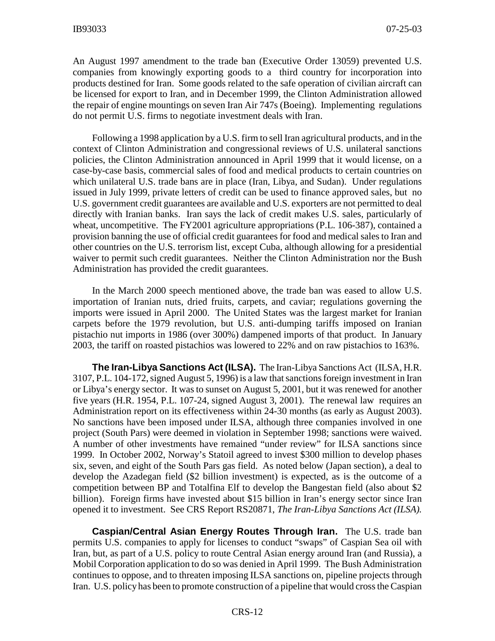An August 1997 amendment to the trade ban (Executive Order 13059) prevented U.S. companies from knowingly exporting goods to a third country for incorporation into products destined for Iran. Some goods related to the safe operation of civilian aircraft can be licensed for export to Iran, and in December 1999, the Clinton Administration allowed the repair of engine mountings on seven Iran Air 747s (Boeing). Implementing regulations do not permit U.S. firms to negotiate investment deals with Iran.

Following a 1998 application by a U.S. firm to sell Iran agricultural products, and in the context of Clinton Administration and congressional reviews of U.S. unilateral sanctions policies, the Clinton Administration announced in April 1999 that it would license, on a case-by-case basis, commercial sales of food and medical products to certain countries on which unilateral U.S. trade bans are in place (Iran, Libya, and Sudan). Under regulations issued in July 1999, private letters of credit can be used to finance approved sales, but no U.S. government credit guarantees are available and U.S. exporters are not permitted to deal directly with Iranian banks. Iran says the lack of credit makes U.S. sales, particularly of wheat, uncompetitive. The FY2001 agriculture appropriations (P.L. 106-387), contained a provision banning the use of official credit guarantees for food and medical sales to Iran and other countries on the U.S. terrorism list, except Cuba, although allowing for a presidential waiver to permit such credit guarantees. Neither the Clinton Administration nor the Bush Administration has provided the credit guarantees.

In the March 2000 speech mentioned above, the trade ban was eased to allow U.S. importation of Iranian nuts, dried fruits, carpets, and caviar; regulations governing the imports were issued in April 2000. The United States was the largest market for Iranian carpets before the 1979 revolution, but U.S. anti-dumping tariffs imposed on Iranian pistachio nut imports in 1986 (over 300%) dampened imports of that product. In January 2003, the tariff on roasted pistachios was lowered to 22% and on raw pistachios to 163%.

**The Iran-Libya Sanctions Act (ILSA).** The Iran-Libya Sanctions Act (ILSA, H.R. 3107, P.L. 104-172, signed August 5, 1996) is a law that sanctions foreign investment in Iran or Libya's energy sector. It was to sunset on August 5, 2001, but it was renewed for another five years (H.R. 1954, P.L. 107-24, signed August 3, 2001). The renewal law requires an Administration report on its effectiveness within 24-30 months (as early as August 2003). No sanctions have been imposed under ILSA, although three companies involved in one project (South Pars) were deemed in violation in September 1998; sanctions were waived. A number of other investments have remained "under review" for ILSA sanctions since 1999. In October 2002, Norway's Statoil agreed to invest \$300 million to develop phases six, seven, and eight of the South Pars gas field. As noted below (Japan section), a deal to develop the Azadegan field (\$2 billion investment) is expected, as is the outcome of a competition between BP and Totalfina Elf to develop the Bangestan field (also about \$2 billion). Foreign firms have invested about \$15 billion in Iran's energy sector since Iran opened it to investment. See CRS Report RS20871, *The Iran-Libya Sanctions Act (ILSA).*

**Caspian/Central Asian Energy Routes Through Iran.** The U.S. trade ban permits U.S. companies to apply for licenses to conduct "swaps" of Caspian Sea oil with Iran, but, as part of a U.S. policy to route Central Asian energy around Iran (and Russia), a Mobil Corporation application to do so was denied in April 1999. The Bush Administration continues to oppose, and to threaten imposing ILSA sanctions on, pipeline projects through Iran. U.S. policy has been to promote construction of a pipeline that would cross the Caspian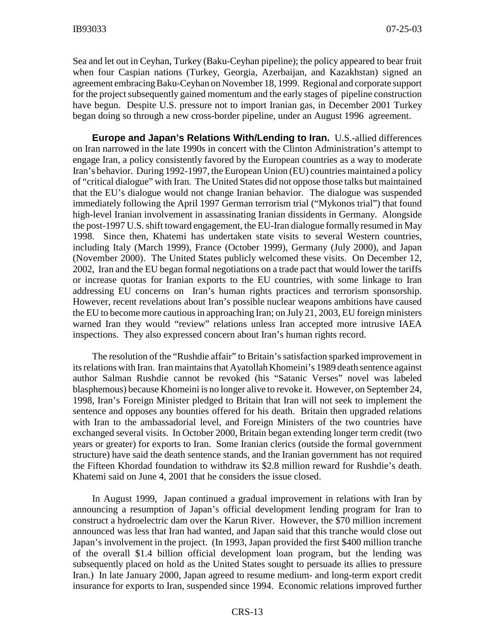Sea and let out in Ceyhan, Turkey (Baku-Ceyhan pipeline); the policy appeared to bear fruit when four Caspian nations (Turkey, Georgia, Azerbaijan, and Kazakhstan) signed an agreement embracing Baku-Ceyhan on November 18, 1999. Regional and corporate support for the project subsequently gained momentum and the early stages of pipeline construction have begun. Despite U.S. pressure not to import Iranian gas, in December 2001 Turkey began doing so through a new cross-border pipeline, under an August 1996 agreement.

**Europe and Japan's Relations With/Lending to Iran.** U.S.-allied differences on Iran narrowed in the late 1990s in concert with the Clinton Administration's attempt to engage Iran, a policy consistently favored by the European countries as a way to moderate Iran's behavior. During 1992-1997, the European Union (EU) countries maintained a policy of "critical dialogue" with Iran. The United States did not oppose those talks but maintained that the EU's dialogue would not change Iranian behavior. The dialogue was suspended immediately following the April 1997 German terrorism trial ("Mykonos trial") that found high-level Iranian involvement in assassinating Iranian dissidents in Germany. Alongside the post-1997 U.S. shift toward engagement, the EU-Iran dialogue formally resumed in May 1998. Since then, Khatemi has undertaken state visits to several Western countries, including Italy (March 1999), France (October 1999), Germany (July 2000), and Japan (November 2000). The United States publicly welcomed these visits. On December 12, 2002, Iran and the EU began formal negotiations on a trade pact that would lower the tariffs or increase quotas for Iranian exports to the EU countries, with some linkage to Iran addressing EU concerns on Iran's human rights practices and terrorism sponsorship. However, recent revelations about Iran's possible nuclear weapons ambitions have caused the EU to become more cautious in approaching Iran; on July 21, 2003, EU foreign ministers warned Iran they would "review" relations unless Iran accepted more intrusive IAEA inspections. They also expressed concern about Iran's human rights record.

The resolution of the "Rushdie affair" to Britain's satisfaction sparked improvement in its relations with Iran. Iran maintains that Ayatollah Khomeini's 1989 death sentence against author Salman Rushdie cannot be revoked (his "Satanic Verses" novel was labeled blasphemous) because Khomeini is no longer alive to revoke it. However, on September 24, 1998, Iran's Foreign Minister pledged to Britain that Iran will not seek to implement the sentence and opposes any bounties offered for his death. Britain then upgraded relations with Iran to the ambassadorial level, and Foreign Ministers of the two countries have exchanged several visits. In October 2000, Britain began extending longer term credit (two years or greater) for exports to Iran. Some Iranian clerics (outside the formal government structure) have said the death sentence stands, and the Iranian government has not required the Fifteen Khordad foundation to withdraw its \$2.8 million reward for Rushdie's death. Khatemi said on June 4, 2001 that he considers the issue closed.

In August 1999, Japan continued a gradual improvement in relations with Iran by announcing a resumption of Japan's official development lending program for Iran to construct a hydroelectric dam over the Karun River. However, the \$70 million increment announced was less that Iran had wanted, and Japan said that this tranche would close out Japan's involvement in the project. (In 1993, Japan provided the first \$400 million tranche of the overall \$1.4 billion official development loan program, but the lending was subsequently placed on hold as the United States sought to persuade its allies to pressure Iran.) In late January 2000, Japan agreed to resume medium- and long-term export credit insurance for exports to Iran, suspended since 1994. Economic relations improved further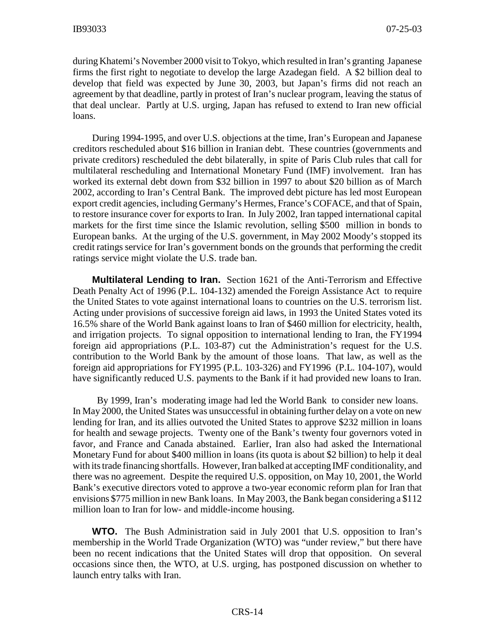during Khatemi's November 2000 visit to Tokyo, which resulted in Iran's granting Japanese firms the first right to negotiate to develop the large Azadegan field. A \$2 billion deal to develop that field was expected by June 30, 2003, but Japan's firms did not reach an agreement by that deadline, partly in protest of Iran's nuclear program, leaving the status of that deal unclear. Partly at U.S. urging, Japan has refused to extend to Iran new official loans.

During 1994-1995, and over U.S. objections at the time, Iran's European and Japanese creditors rescheduled about \$16 billion in Iranian debt. These countries (governments and private creditors) rescheduled the debt bilaterally, in spite of Paris Club rules that call for multilateral rescheduling and International Monetary Fund (IMF) involvement. Iran has worked its external debt down from \$32 billion in 1997 to about \$20 billion as of March 2002, according to Iran's Central Bank. The improved debt picture has led most European export credit agencies, including Germany's Hermes, France's COFACE, and that of Spain, to restore insurance cover for exports to Iran. In July 2002, Iran tapped international capital markets for the first time since the Islamic revolution, selling \$500 million in bonds to European banks. At the urging of the U.S. government, in May 2002 Moody's stopped its credit ratings service for Iran's government bonds on the grounds that performing the credit ratings service might violate the U.S. trade ban.

**Multilateral Lending to Iran.** Section 1621 of the Anti-Terrorism and Effective Death Penalty Act of 1996 (P.L. 104-132) amended the Foreign Assistance Act to require the United States to vote against international loans to countries on the U.S. terrorism list. Acting under provisions of successive foreign aid laws, in 1993 the United States voted its 16.5% share of the World Bank against loans to Iran of \$460 million for electricity, health, and irrigation projects. To signal opposition to international lending to Iran, the FY1994 foreign aid appropriations (P.L. 103-87) cut the Administration's request for the U.S. contribution to the World Bank by the amount of those loans. That law, as well as the foreign aid appropriations for FY1995 (P.L. 103-326) and FY1996 (P.L. 104-107), would have significantly reduced U.S. payments to the Bank if it had provided new loans to Iran.

By 1999, Iran's moderating image had led the World Bank to consider new loans. In May 2000, the United States was unsuccessful in obtaining further delay on a vote on new lending for Iran, and its allies outvoted the United States to approve \$232 million in loans for health and sewage projects. Twenty one of the Bank's twenty four governors voted in favor, and France and Canada abstained. Earlier, Iran also had asked the International Monetary Fund for about \$400 million in loans (its quota is about \$2 billion) to help it deal with its trade financing shortfalls. However, Iran balked at accepting IMF conditionality, and there was no agreement. Despite the required U.S. opposition, on May 10, 2001, the World Bank's executive directors voted to approve a two-year economic reform plan for Iran that envisions \$775 million in new Bank loans. In May 2003, the Bank began considering a \$112 million loan to Iran for low- and middle-income housing.

**WTO.** The Bush Administration said in July 2001 that U.S. opposition to Iran's membership in the World Trade Organization (WTO) was "under review," but there have been no recent indications that the United States will drop that opposition. On several occasions since then, the WTO, at U.S. urging, has postponed discussion on whether to launch entry talks with Iran.